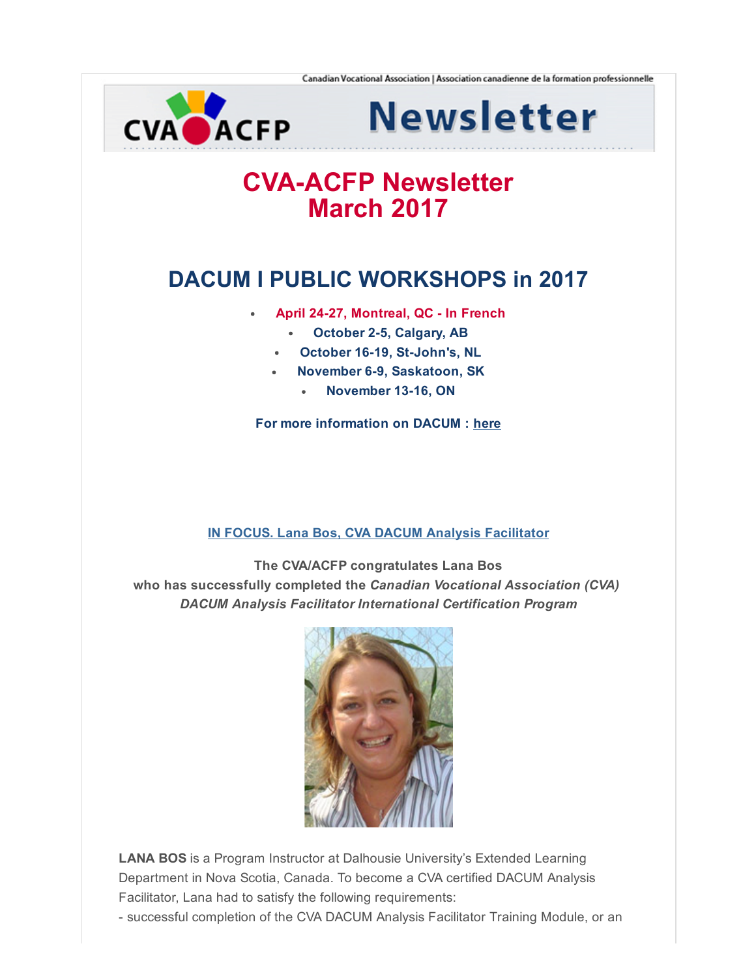

**Newsletter** 

# **CVA-ACFP Newsletter** March 2017

## DACUM I PUBLIC WORKSHOPS in 2017

- April 24-27, Montreal, QC In French
	- $\bullet$ October 2-5, Calgary, AB
	- October 16-19, St-John's, NL
	- November 6-9, Saskatoon, SK  $\bullet$ 
		- November 13-16, ON

For more information on DACUM : [here](http://cva-acfp.org/training-and-workshops/)

### IN FOCUS. Lana Bos, CVA DACUM Analysis [Facilitator](http://cva-acfp.org/lana-bos/)

The CVA/ACFP congratulates Lana Bos who has successfully completed the Canadian Vocational Association (CVA) DACUM Analysis Facilitator International Certification Program



LANA BOS is a Program Instructor at Dalhousie University's Extended Learning Department in Nova Scotia, Canada. To become a CVA certified DACUM Analysis Facilitator, Lana had to satisfy the following requirements:

successful completion of the CVA DACUM Analysis Facilitator Training Module, or an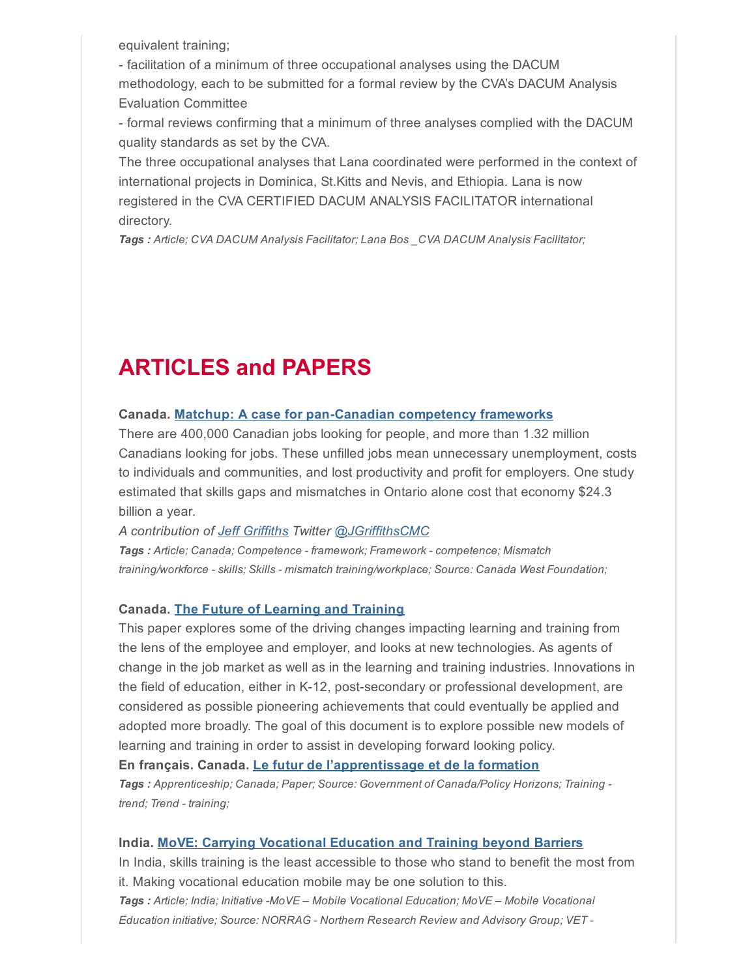equivalent training;

 facilitation of a minimum of three occupational analyses using the DACUM methodology, each to be submitted for a formal review by the CVA's DACUM Analysis Evaluation Committee

 formal reviews confirming that a minimum of three analyses complied with the DACUM quality standards as set by the CVA.

The three occupational analyses that Lana coordinated were performed in the context of international projects in Dominica, St.Kitts and Nevis, and Ethiopia. Lana is now registered in the CVA CERTIFIED DACUM ANALYSIS FACILITATOR international directory.

Tags : Article; CVA DACUM Analysis Facilitator; Lana Bos \_CVA DACUM Analysis Facilitator;

## ARTICLES and PAPERS

#### Canada. Matchup: A case for pan-Canadian competency frameworks

There are 400,000 Canadian jobs looking for people, and more than 1.32 million Canadians looking for jobs. These unfilled jobs mean unnecessary unemployment, costs to individuals and communities, and lost productivity and profit for employers. One study estimated that skills gaps and mismatches in Ontario alone cost that economy \$24.3 billion a year.

A contribution of Jeff [Griffiths](https://www.linkedin.com/in/griffithsjeff/) Twitter [@JGriffithsCMC](https://twitter.com/JGriffithsCMC)

Tags : Article; Canada; Competence - framework; Framework - competence; Mismatch training/workforce - skills; Skills - mismatch training/workplace; Source: Canada West Foundation;

#### Canada. The Future of [Learning](http://www.horizons.gc.ca/eng/content/future-learning-and-training-environmental-scan) and Training

This paper explores some of the driving changes impacting learning and training from the lens of the employee and employer, and looks at new technologies. As agents of change in the job market as well as in the learning and training industries. Innovations in the field of education, either in K-12, post-secondary or professional development, are considered as possible pioneering achievements that could eventually be applied and adopted more broadly. The goal of this document is to explore possible new models of learning and training in order to assist in developing forward looking policy.

En français. Canada. Le futur de [l'apprentissage](http://www.horizons.gc.ca/fra/contenu/le-futur-de-l%E2%80%99apprentisage-et-la-formarion-scan-environnemental) et de la formation Tags : Apprenticeship; Canada; Paper; Source: Government of Canada/Policy Horizons; Training trend; Trend - training;

#### India. MoVE: Carrying [Vocational](https://norrag.wordpress.com/2014/03/07/move-carrying-vocational-education-and-training-beyond-barriers/) Education and Training beyond Barriers

In India, skills training is the least accessible to those who stand to benefit the most from it. Making vocational education mobile may be one solution to this. Tags : Article; India; Initiative -MoVE - Mobile Vocational Education; MoVE - Mobile Vocational Education initiative; Source: NORRAG - Northern Research Review and Advisory Group; VET -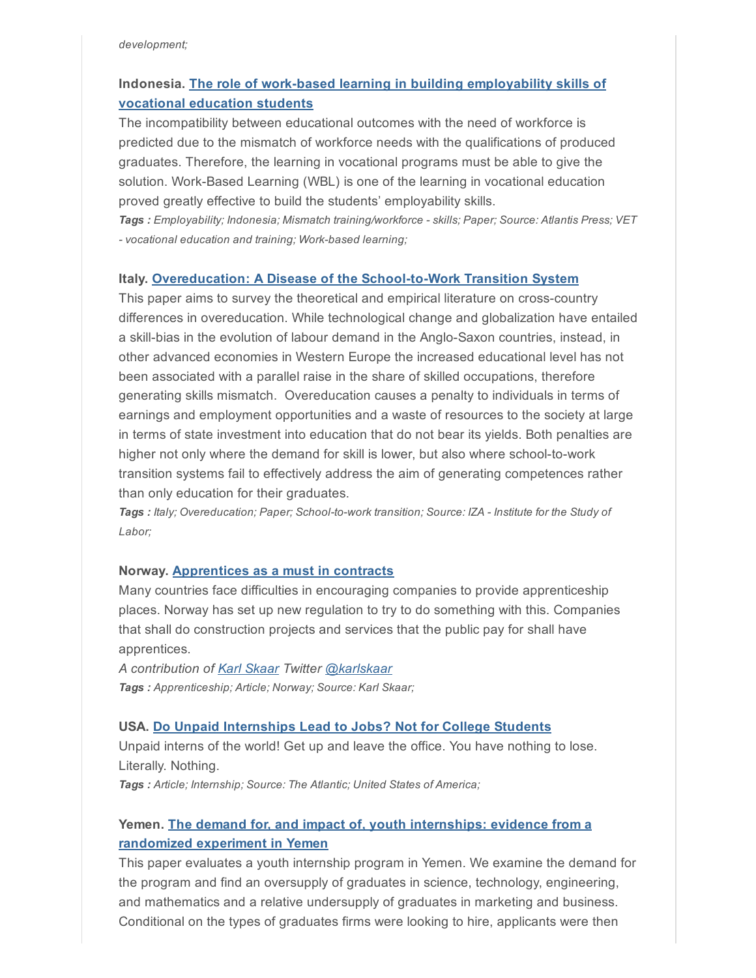## Indonesia. The role of work-based learning in building [employability](http://www.atlantis-press.com/php/pub.php?publication=tvet-14&frame=http%3A//www.atlantis-press.com/php/paper-details.php%3Fid%3D16861) skills of vocational education students

The incompatibility between educational outcomes with the need of workforce is predicted due to the mismatch of workforce needs with the qualifications of produced graduates. Therefore, the learning in vocational programs must be able to give the solution. Work-Based Learning (WBL) is one of the learning in vocational education proved greatly effective to build the students' employability skills.

Tags : Employability; Indonesia; Mismatch training/workforce - skills; Paper; Source: Atlantis Press; VET - vocational education and training; Work-based learning;

#### Italy. Overeducation: A Disease of the School-to-Work Transition System

This paper aims to survey the theoretical and empirical literature on cross-country differences in overeducation. While technological change and globalization have entailed a skill-bias in the evolution of labour demand in the Anglo-Saxon countries, instead, in other advanced economies in Western Europe the increased educational level has not been associated with a parallel raise in the share of skilled occupations, therefore generating skills mismatch. Overeducation causes a penalty to individuals in terms of earnings and employment opportunities and a waste of resources to the society at large in terms of state investment into education that do not bear its yields. Both penalties are higher not only where the demand for skill is lower, but also where school-to-work transition systems fail to effectively address the aim of generating competences rather than only education for their graduates.

Tags : Italy; Overeducation; Paper; School-to-work transition; Source: IZA - Institute for the Study of Labor;

#### Norway. [Apprentices](https://www.linkedin.com/pulse/apprentices-must-contracts-karl-skaar?trk=pulse_spock-articles) as a must in contracts

Many countries face difficulties in encouraging companies to provide apprenticeship places. Norway has set up new regulation to try to do something with this. Companies that shall do construction projects and services that the public pay for shall have apprentices.

A contribution of Karl [Skaar](https://www.linkedin.com/in/karlskaar) Twitter [@karlskaar](https://twitter.com/karlskaar) Tags : Apprenticeship; Article; Norway; Source: Karl Skaar;

#### USA. Do Unpaid [Internships](https://www.theatlantic.com/business/archive/2013/06/do-unpaid-internships-lead-to-jobs-not-for-college-students/276959/?utm_source=SFFB) Lead to Jobs? Not for College Students

Unpaid interns of the world! Get up and leave the office. You have nothing to lose. Literally. Nothing.

Tags : Article; Internship; Source: The Atlantic; United States of America;

## Yemen. The demand for, and impact of, youth [internships:](http://izajold.springeropen.com/articles/10.1186/s40175-016-0048-8) evidence from a randomized experiment in Yemen

This paper evaluates a youth internship program in Yemen. We examine the demand for the program and find an oversupply of graduates in science, technology, engineering, and mathematics and a relative undersupply of graduates in marketing and business. Conditional on the types of graduates firms were looking to hire, applicants were then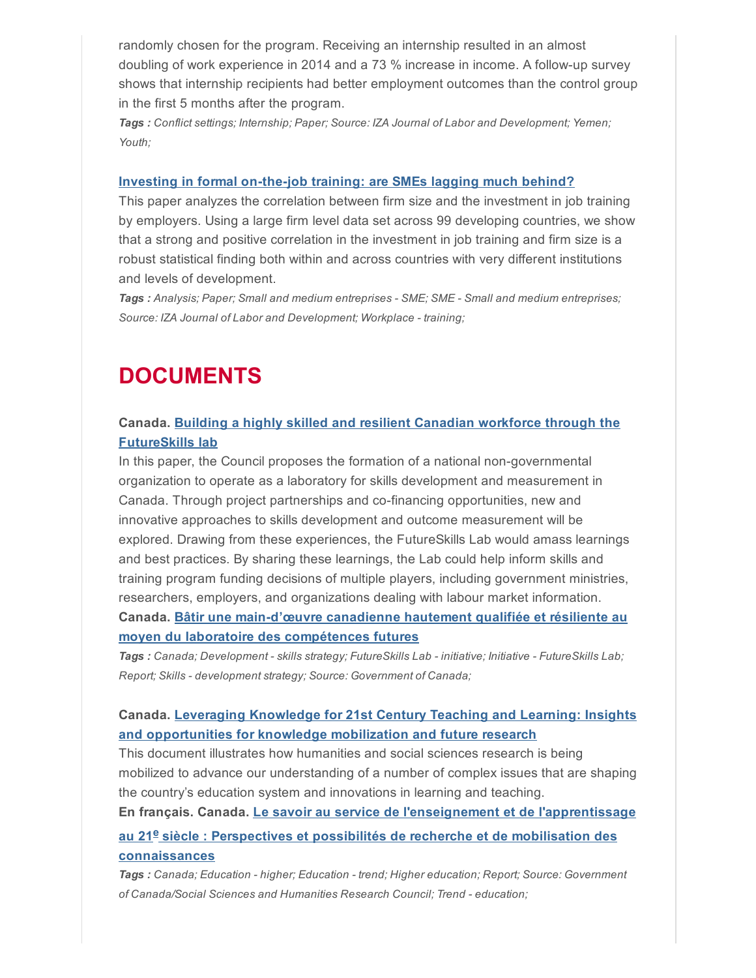randomly chosen for the program. Receiving an internship resulted in an almost doubling of work experience in 2014 and a 73 % increase in income. A follow-up survey shows that internship recipients had better employment outcomes than the control group in the first 5 months after the program.

Tags : Conflict settings; Internship; Paper; Source: IZA Journal of Labor and Development; Yemen; Youth;

#### Investing in formal on-the-job training: are SMEs lagging much behind?

This paper analyzes the correlation between firm size and the investment in job training by employers. Using a large firm level data set across 99 developing countries, we show that a strong and positive correlation in the investment in job training and firm size is a robust statistical finding both within and across countries with very different institutions and levels of development.

Tags : Analysis; Paper; Small and medium entreprises - SME; SME - Small and medium entreprises; Source: IZA Journal of Labor and Development; Workplace - training;

## DOCUMENTS

#### Canada. Building a highly skilled and resilient Canadian workforce through the [FutureSkills](http://publications.gc.ca/site/fra/9.832042/publication.html) lab

In this paper, the Council proposes the formation of a national nongovernmental organization to operate as a laboratory for skills development and measurement in Canada. Through project partnerships and co-financing opportunities, new and innovative approaches to skills development and outcome measurement will be explored. Drawing from these experiences, the FutureSkills Lab would amass learnings and best practices. By sharing these learnings, the Lab could help inform skills and training program funding decisions of multiple players, including government ministries, researchers, employers, and organizations dealing with labour market information. Canada. Bâtir une main-d'œuvre canadienne hautement qualifiée et résiliente au

moyen du laboratoire des compétences futures Tags : Canada; Development - skills strategy; FutureSkills Lab - initiative; Initiative - FutureSkills Lab;

Report; Skills - development strategy; Source: Government of Canada;

### Canada. Leveraging Knowledge for 21st Century Teaching and Learning: Insights and [opportunities](http://www.sshrc-crsh.gc.ca/society-societe/community-communite/ifca-iac/01-learning_report-apprentissage_rapport-eng.pdf) for knowledge mobilization and future research

This document illustrates how humanities and social sciences research is being mobilized to advance our understanding of a number of complex issues that are shaping the country's education system and innovations in learning and teaching.

En français. Canada. Le savoir au service de l'enseignement et de [l'apprentissage](http://www.sshrc-crsh.gc.ca/society-societe/community-communite/ifca-iac/01-learning_report-apprentissage_rapport-fra.pdf)

## au 21<sup>e</sup> siècle : Perspectives et possibilités de recherche et de mobilisation des connaissances

Tags : Canada; Education - higher; Education - trend; Higher education; Report; Source: Government of Canada/Social Sciences and Humanities Research Council; Trend - education;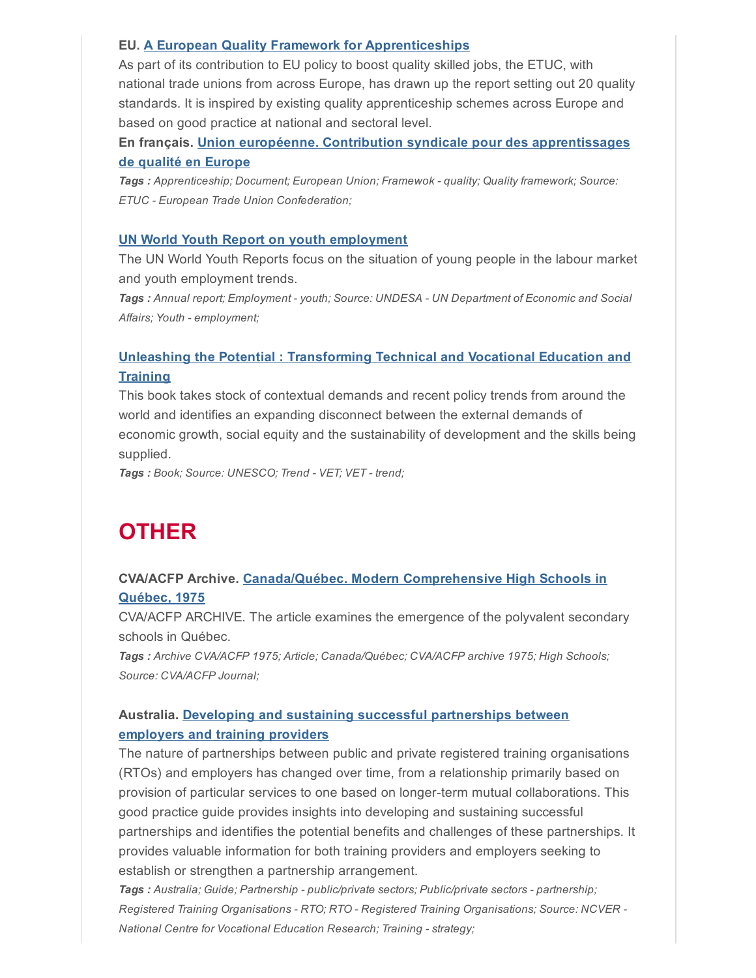#### EU. A European Quality Framework for [Apprenticeships](https://www.etuc.org/sites/www.etuc.org/files/publication/files/a_european_quality_framework_for_apprenticeships_en.final_.corr_.pdf)

As part of its contribution to EU policy to boost quality skilled jobs, the ETUC, with national trade unions from across Europe, has drawn up the report setting out 20 quality standards. It is inspired by existing quality apprenticeship schemes across Europe and based on good practice at national and sectoral level.

### En français. Union européenne. Contribution syndicale pour des [apprentissages](https://www.etuc.org/sites/www.etuc.org/files/publication/files/fr_cadre_de_qualite_europeen_pour_les_apprentissages.pdf) de qualité en Europe

Tags : Apprenticeship; Document; European Union; Framewok - quality; Quality framework; Source: ETUC - European Trade Union Confederation;

#### UN World Youth Report on youth [employment](http://unworldyouthreport.org/)

The UN World Youth Reports focus on the situation of young people in the labour market and youth employment trends.

Tags : Annual report; Employment - youth; Source: UNDESA - UN Department of Economic and Social Affairs; Youth - employment;

### Unleashing the Potential : [Transforming](http://unesdoc.unesco.org/images/0023/002330/233030e.pdf) Technical and Vocational Education and **Training**

This book takes stock of contextual demands and recent policy trends from around the world and identifies an expanding disconnect between the external demands of economic growth, social equity and the sustainability of development and the skills being supplied.

Tags: Book; Source: UNESCO; Trend - VET; VET - trend;

## **OTHER**

### CVA/ACFP Archive. [Canada/Québec.](http://cva-acfp.org/wp-content/uploads/2017/03/Modern-Comprehensive-High-Schools-in-Quebec-1975.pdf) Modern Comprehensive High Schools in Québec, 1975

CVA/ACFP ARCHIVE. The article examines the emergence of the polyvalent secondary schools in Québec.

Tags : Archive CVA/ACFP 1975; Article; Canada/Québec; CVA/ACFP archive 1975; High Schools; Source: CVA/ACFP Journal;

## Australia. Developing and sustaining successful [partnerships](https://www.ncver.edu.au/__data/assets/pdf_file/0023/267602/Partnerships-between-employers-and-providers.pdf) between employers and training providers

The nature of partnerships between public and private registered training organisations (RTOs) and employers has changed over time, from a relationship primarily based on provision of particular services to one based on longer-term mutual collaborations. This good practice guide provides insights into developing and sustaining successful partnerships and identifies the potential benefits and challenges of these partnerships. It provides valuable information for both training providers and employers seeking to establish or strengthen a partnership arrangement.

Tags : Australia; Guide; Partnership - public/private sectors; Public/private sectors - partnership; Registered Training Organisations - RTO; RTO - Registered Training Organisations; Source: NCVER -National Centre for Vocational Education Research; Training - strategy;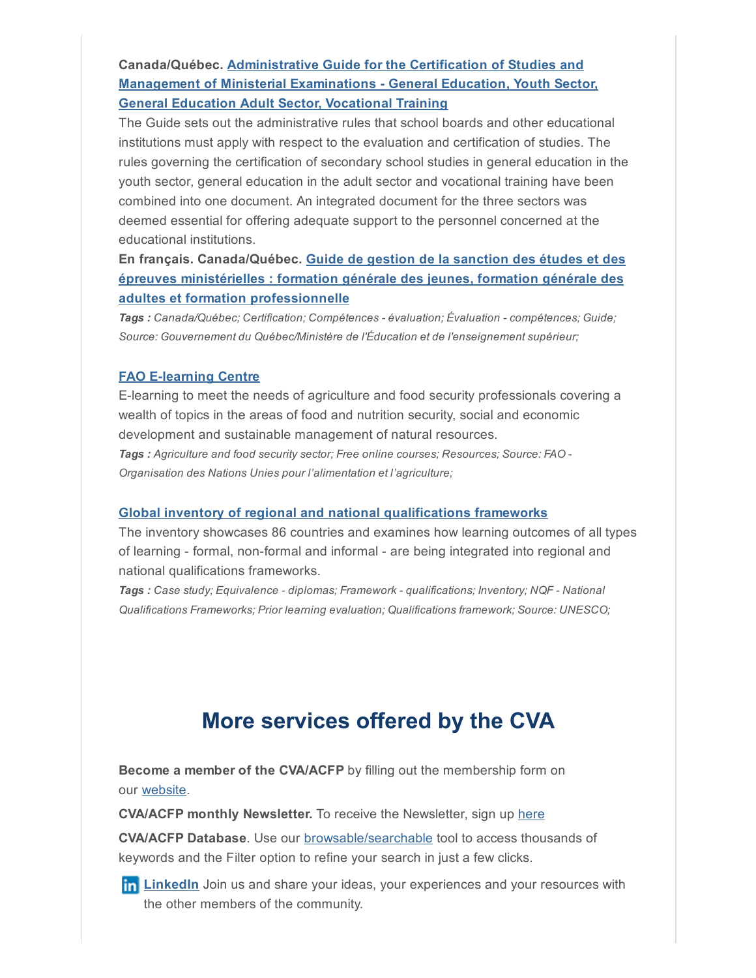## [Canada/Québec.](http://www.education.gouv.qc.ca/fileadmin/site_web/documents/dpse/sanction/Guide-sanction-2015_ang.pdf) Administrative Guide for the Certification of Studies and **Management of Ministerial Examinations - General Education, Youth Sector,** General Education Adult Sector, Vocational Training

The Guide sets out the administrative rules that school boards and other educational institutions must apply with respect to the evaluation and certification of studies. The rules governing the certification of secondary school studies in general education in the youth sector, general education in the adult sector and vocational training have been combined into one document. An integrated document for the three sectors was deemed essential for offering adequate support to the personnel concerned at the educational institutions.

## En français. [Canada/Québec.](http://www.education.gouv.qc.ca/fileadmin/site_web/documents/dpse/sanction/Guide-sanction-2015_fr.pdf) Guide de gestion de la sanction des études et des épreuves ministérielles : formation générale des jeunes, formation générale des adultes et formation professionnelle

Tags : Canada/Québec; Certification; Compétences - évaluation; Évaluation - compétences; Guide; Source: Gouvernement du Québec/Ministère de l'Éducation et de l'enseignement supérieur;

#### **FAO E-learning Centre**

Elearning to meet the needs of agriculture and food security professionals covering a wealth of topics in the areas of food and nutrition security, social and economic development and sustainable management of natural resources. Tags : Agriculture and food security sector; Free online courses; Resources; Source: FAO -Organisation des Nations Unies pour l'alimentation et l'agriculture;

#### Global inventory of regional and national [qualifications](http://unesdoc.unesco.org/images/0023/002351/235123e.pdf) frameworks

The inventory showcases 86 countries and examines how learning outcomes of all types of learning - formal, non-formal and informal - are being integrated into regional and national qualifications frameworks.

Tags : Case study; Equivalence - diplomas; Framework - qualifications; Inventory; NQF - National Qualifications Frameworks; Prior learning evaluation; Qualifications framework; Source: UNESCO;

## More services offered by the CVA

Become a member of the CVA/ACFP by filling out the membership form on our [website](http://cva-acfp.org/membership/becoming-a-member/).

CVA/ACFP monthly Newsletter. To receive the Newsletter, sign up [here](http://cva-acfp.org/)

CVA/ACFP Database. Use our [browsable/searchable](http://cva-acfp.org/) tool to access thousands of keywords and the Filter option to refine your search in just a few clicks.

**In [LinkedIn](http://tinyurl.com/6vpmye5)** Join us and share your ideas, your experiences and your resources with the other members of the community.